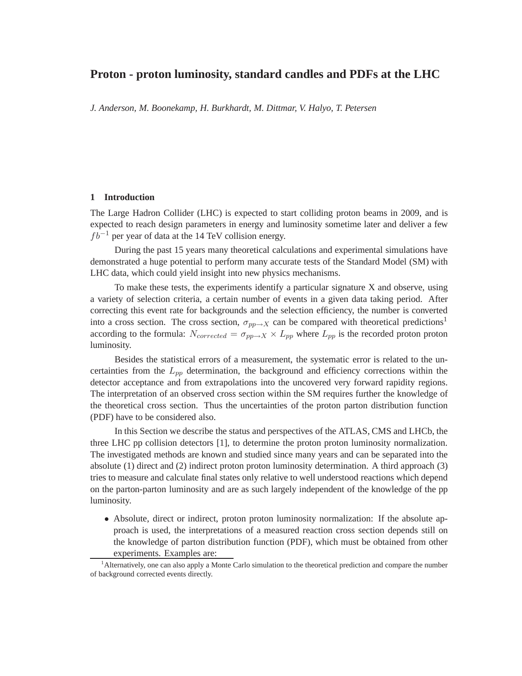# **Proton - proton luminosity, standard candles and PDFs at the LHC**

*J. Anderson, M. Boonekamp, H. Burkhardt, M. Dittmar, V. Halyo, T. Petersen*

#### **1 Introduction**

The Large Hadron Collider (LHC) is expected to start colliding proton beams in 2009, and is expected to reach design parameters in energy and luminosity sometime later and deliver a few  $fb^{-1}$  per year of data at the 14 TeV collision energy.

During the past 15 years many theoretical calculations and experimental simulations have demonstrated a huge potential to perform many accurate tests of the Standard Model (SM) with LHC data, which could yield insight into new physics mechanisms.

To make these tests, the experiments identify a particular signature X and observe, using a variety of selection criteria, a certain number of events in a given data taking period. After correcting this event rate for backgrounds and the selection efficiency, the number is converted into a cross section. The cross section,  $\sigma_{pp\to X}$  can be compared with theoretical predictions<sup>1</sup> according to the formula:  $N_{corrected} = \sigma_{pp \to X} \times L_{pp}$  where  $L_{pp}$  is the recorded proton proton luminosity.

Besides the statistical errors of a measurement, the systematic error is related to the uncertainties from the  $L_{nn}$  determination, the background and efficiency corrections within the detector acceptance and from extrapolations into the uncovered very forward rapidity regions. The interpretation of an observed cross section within the SM requires further the knowledge of the theoretical cross section. Thus the uncertainties of the proton parton distribution function (PDF) have to be considered also.

In this Section we describe the status and perspectives of the ATLAS, CMS and LHCb, the three LHC pp collision detectors [1], to determine the proton proton luminosity normalization. The investigated methods are known and studied since many years and can be separated into the absolute (1) direct and (2) indirect proton proton luminosity determination. A third approach (3) tries to measure and calculate final states only relative to well understood reactions which depend on the parton-parton luminosity and are as such largely independent of the knowledge of the pp luminosity.

• Absolute, direct or indirect, proton proton luminosity normalization: If the absolute approach is used, the interpretations of a measured reaction cross section depends still on the knowledge of parton distribution function (PDF), which must be obtained from other experiments. Examples are:

<sup>&</sup>lt;sup>1</sup>Alternatively, one can also apply a Monte Carlo simulation to the theoretical prediction and compare the number of background corrected events directly.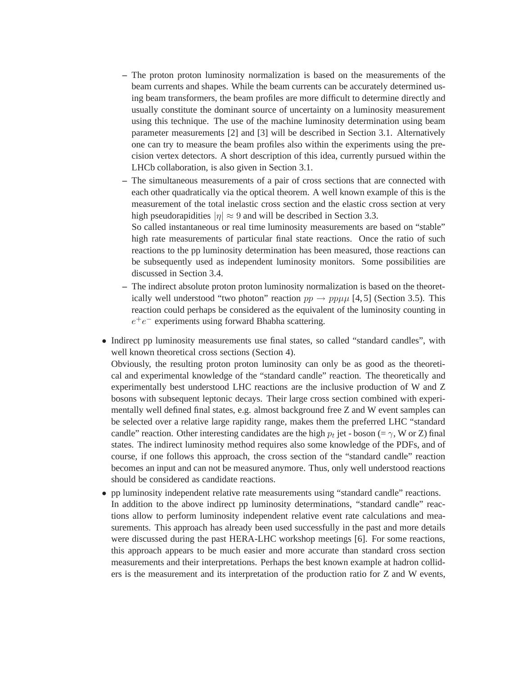- **–** The proton proton luminosity normalization is based on the measurements of the beam currents and shapes. While the beam currents can be accurately determined using beam transformers, the beam profiles are more difficult to determine directly and usually constitute the dominant source of uncertainty on a luminosity measurement using this technique. The use of the machine luminosity determination using beam parameter measurements [2] and [3] will be described in Section 3.1. Alternatively one can try to measure the beam profiles also within the experiments using the precision vertex detectors. A short description of this idea, currently pursued within the LHCb collaboration, is also given in Section 3.1.
- **–** The simultaneous measurements of a pair of cross sections that are connected with each other quadratically via the optical theorem. A well known example of this is the measurement of the total inelastic cross section and the elastic cross section at very high pseudorapidities  $|\eta| \approx 9$  and will be described in Section 3.3.

So called instantaneous or real time luminosity measurements are based on "stable" high rate measurements of particular final state reactions. Once the ratio of such reactions to the pp luminosity determination has been measured, those reactions can be subsequently used as independent luminosity monitors. Some possibilities are discussed in Section 3.4.

- **–** The indirect absolute proton proton luminosity normalization is based on the theoretically well understood "two photon" reaction  $pp \rightarrow pp\mu\mu$  [4, 5] (Section 3.5). This reaction could perhaps be considered as the equivalent of the luminosity counting in  $e^+e^-$  experiments using forward Bhabha scattering.
- Indirect pp luminosity measurements use final states, so called "standard candles", with well known theoretical cross sections (Section 4).

Obviously, the resulting proton proton luminosity can only be as good as the theoretical and experimental knowledge of the "standard candle" reaction. The theoretically and experimentally best understood LHC reactions are the inclusive production of W and Z bosons with subsequent leptonic decays. Their large cross section combined with experimentally well defined final states, e.g. almost background free Z and W event samples can be selected over a relative large rapidity range, makes them the preferred LHC "standard candle" reaction. Other interesting candidates are the high  $p_t$  jet - boson (=  $\gamma$ , W or Z) final states. The indirect luminosity method requires also some knowledge of the PDFs, and of course, if one follows this approach, the cross section of the "standard candle" reaction becomes an input and can not be measured anymore. Thus, only well understood reactions should be considered as candidate reactions.

• pp luminosity independent relative rate measurements using "standard candle" reactions. In addition to the above indirect pp luminosity determinations, "standard candle" reactions allow to perform luminosity independent relative event rate calculations and measurements. This approach has already been used successfully in the past and more details were discussed during the past HERA-LHC workshop meetings [6]. For some reactions, this approach appears to be much easier and more accurate than standard cross section measurements and their interpretations. Perhaps the best known example at hadron colliders is the measurement and its interpretation of the production ratio for Z and W events,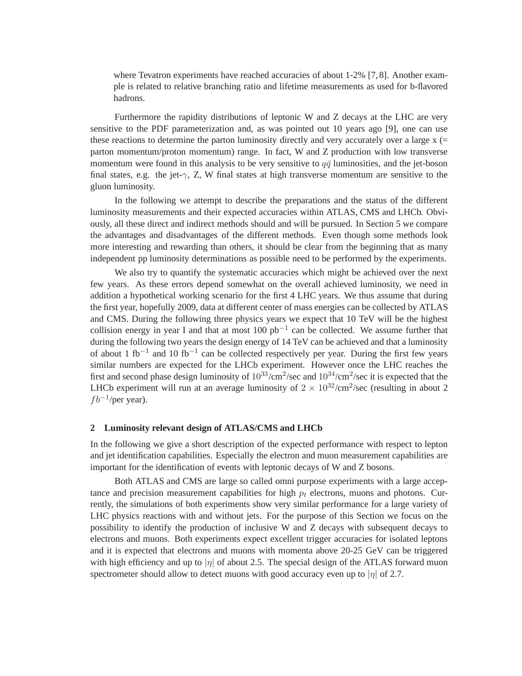where Tevatron experiments have reached accuracies of about 1-2% [7,8]. Another example is related to relative branching ratio and lifetime measurements as used for b-flavored hadrons.

Furthermore the rapidity distributions of leptonic W and Z decays at the LHC are very sensitive to the PDF parameterization and, as was pointed out 10 years ago [9], one can use these reactions to determine the parton luminosity directly and very accurately over a large x (= parton momentum/proton momentum) range. In fact, W and Z production with low transverse momentum were found in this analysis to be very sensitive to  $q\bar{q}$  luminosities, and the jet-boson final states, e.g. the jet- $\gamma$ , Z, W final states at high transverse momentum are sensitive to the gluon luminosity.

In the following we attempt to describe the preparations and the status of the different luminosity measurements and their expected accuracies within ATLAS, CMS and LHCb. Obviously, all these direct and indirect methods should and will be pursued. In Section 5 we compare the advantages and disadvantages of the different methods. Even though some methods look more interesting and rewarding than others, it should be clear from the beginning that as many independent pp luminosity determinations as possible need to be performed by the experiments.

We also try to quantify the systematic accuracies which might be achieved over the next few years. As these errors depend somewhat on the overall achieved luminosity, we need in addition a hypothetical working scenario for the first 4 LHC years. We thus assume that during the first year, hopefully 2009, data at different center of mass energies can be collected by ATLAS and CMS. During the following three physics years we expect that 10 TeV will be the highest collision energy in year I and that at most  $100$  pb<sup>-1</sup> can be collected. We assume further that during the following two years the design energy of 14 TeV can be achieved and that a luminosity of about 1 fb<sup>-1</sup> and 10 fb<sup>-1</sup> can be collected respectively per year. During the first few years similar numbers are expected for the LHCb experiment. However once the LHC reaches the first and second phase design luminosity of  $10^{33}/\text{cm}^2/\text{sec}$  and  $10^{34}/\text{cm}^2/\text{sec}$  it is expected that the LHCb experiment will run at an average luminosity of  $2 \times 10^{32} / \text{cm}^2/\text{sec}$  (resulting in about 2  $fb^{-1}/per$  year).

#### **2 Luminosity relevant design of ATLAS/CMS and LHCb**

In the following we give a short description of the expected performance with respect to lepton and jet identification capabilities. Especially the electron and muon measurement capabilities are important for the identification of events with leptonic decays of W and Z bosons.

Both ATLAS and CMS are large so called omni purpose experiments with a large acceptance and precision measurement capabilities for high  $p_t$  electrons, muons and photons. Currently, the simulations of both experiments show very similar performance for a large variety of LHC physics reactions with and without jets. For the purpose of this Section we focus on the possibility to identify the production of inclusive W and Z decays with subsequent decays to electrons and muons. Both experiments expect excellent trigger accuracies for isolated leptons and it is expected that electrons and muons with momenta above 20-25 GeV can be triggered with high efficiency and up to  $|\eta|$  of about 2.5. The special design of the ATLAS forward muon spectrometer should allow to detect muons with good accuracy even up to  $|\eta|$  of 2.7.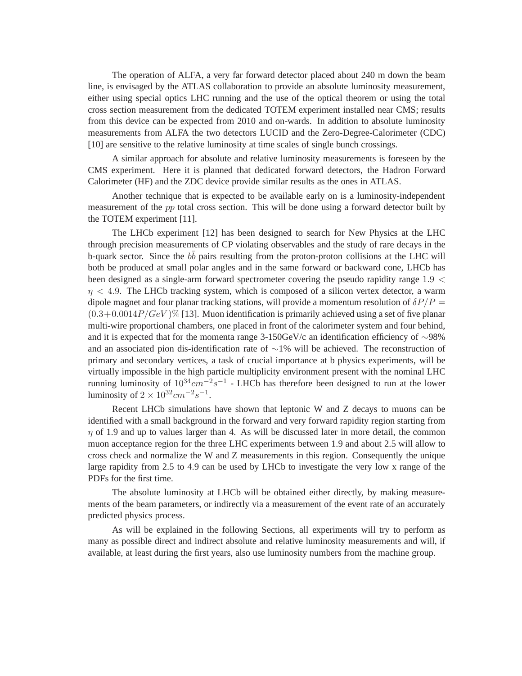The operation of ALFA, a very far forward detector placed about 240 m down the beam line, is envisaged by the ATLAS collaboration to provide an absolute luminosity measurement, either using special optics LHC running and the use of the optical theorem or using the total cross section measurement from the dedicated TOTEM experiment installed near CMS; results from this device can be expected from 2010 and on-wards. In addition to absolute luminosity measurements from ALFA the two detectors LUCID and the Zero-Degree-Calorimeter (CDC) [10] are sensitive to the relative luminosity at time scales of single bunch crossings.

A similar approach for absolute and relative luminosity measurements is foreseen by the CMS experiment. Here it is planned that dedicated forward detectors, the Hadron Forward Calorimeter (HF) and the ZDC device provide similar results as the ones in ATLAS.

Another technique that is expected to be available early on is a luminosity-independent measurement of the pp total cross section. This will be done using a forward detector built by the TOTEM experiment [11].

The LHCb experiment [12] has been designed to search for New Physics at the LHC through precision measurements of CP violating observables and the study of rare decays in the b-quark sector. Since the  $b\bar{b}$  pairs resulting from the proton-proton collisions at the LHC will both be produced at small polar angles and in the same forward or backward cone, LHCb has been designed as a single-arm forward spectrometer covering the pseudo rapidity range 1.9 <  $\eta$  < 4.9. The LHCb tracking system, which is composed of a silicon vertex detector, a warm dipole magnet and four planar tracking stations, will provide a momentum resolution of  $\delta P/P =$  $(0.3+0.0014P/GeV)\%$  [13]. Muon identification is primarily achieved using a set of five planar multi-wire proportional chambers, one placed in front of the calorimeter system and four behind, and it is expected that for the momenta range 3-150GeV/c an identification efficiency of ∼98% and an associated pion dis-identification rate of ∼1% will be achieved. The reconstruction of primary and secondary vertices, a task of crucial importance at b physics experiments, will be virtually impossible in the high particle multiplicity environment present with the nominal LHC running luminosity of  $10^{34}$ cm<sup>-2</sup>s<sup>-1</sup> - LHCb has therefore been designed to run at the lower luminosity of  $2 \times 10^{32} cm^{-2} s^{-1}$ .

Recent LHCb simulations have shown that leptonic W and Z decays to muons can be identified with a small background in the forward and very forward rapidity region starting from  $\eta$  of 1.9 and up to values larger than 4. As will be discussed later in more detail, the common muon acceptance region for the three LHC experiments between 1.9 and about 2.5 will allow to cross check and normalize the W and Z measurements in this region. Consequently the unique large rapidity from 2.5 to 4.9 can be used by LHCb to investigate the very low x range of the PDFs for the first time.

The absolute luminosity at LHCb will be obtained either directly, by making measurements of the beam parameters, or indirectly via a measurement of the event rate of an accurately predicted physics process.

As will be explained in the following Sections, all experiments will try to perform as many as possible direct and indirect absolute and relative luminosity measurements and will, if available, at least during the first years, also use luminosity numbers from the machine group.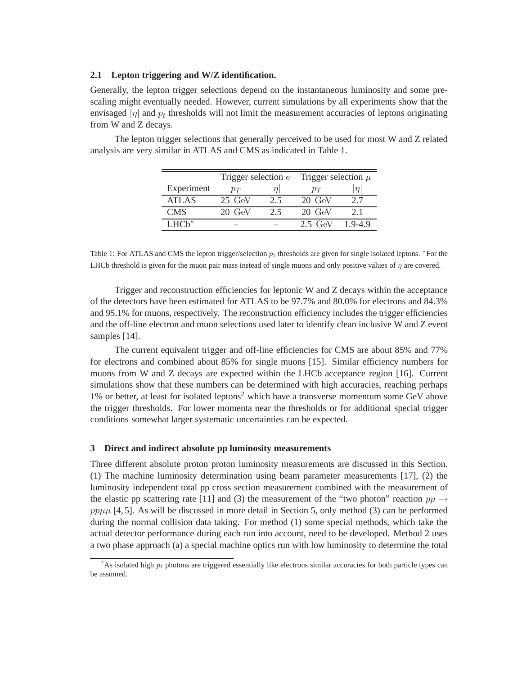#### **2.1 Lepton triggering and W/Z identification.**

Generally, the lepton trigger selections depend on the instantaneous luminosity and some prescaling might eventually needed. However, current simulations by all experiments show that the envisaged  $|\eta|$  and  $p_t$  thresholds will not limit the measurement accuracies of leptons originating from W and Z decays.

The lepton trigger selections that generally perceived to be used for most W and Z related analysis are very similar in ATLAS and CMS as indicated in Table 1.

|            | Trigger selection $e$ |        | Trigger selection $\mu$ |         |
|------------|-----------------------|--------|-------------------------|---------|
| Experiment | $p_T$                 | $\eta$ | $p_T$                   | $\eta$  |
| ATLAS      | $25 \text{ GeV}$      | 2.5    | $20 \text{ GeV}$        | 2.7     |
| <b>CMS</b> | $20 \text{ GeV}$      | 2.5    | $20 \text{ GeV}$        | 21      |
| $LHCh^*$   |                       |        | 2.5 GeV                 | $19-49$ |

Table 1: For ATLAS and CMS the lepton trigger/selection  $p_t$  thresholds are given for single isolated leptons. \*For the LHCb threshold is given for the muon pair mass instead of single muons and only positive values of  $\eta$  are covered.

Trigger and reconstruction efficiencies for leptonic W and Z decays within the acceptance of the detectors have been estimated for ATLAS to be 97.7% and 80.0% for electrons and 84.3% and 95.1% for muons, respectively. The reconstruction efficiency includes the trigger efficiencies and the off-line electron and muon selections used later to identify clean inclusive W and Z event samples [14].

The current equivalent trigger and off-line efficiencies for CMS are about 85% and 77% for electrons and combined about 85% for single muons [15]. Similar efficiency numbers for muons from W and Z decays are expected within the LHCb acceptance region [16]. Current simulations show that these numbers can be determined with high accuracies, reaching perhaps 1% or better, at least for isolated leptons<sup>2</sup> which have a transverse momentum some GeV above the trigger thresholds. For lower momenta near the thresholds or for additional special trigger conditions somewhat larger systematic uncertainties can be expected.

#### **3 Direct and indirect absolute pp luminosity measurements**

Three different absolute proton proton luminosity measurements are discussed in this Section. (1) The machine luminosity determination using beam parameter measurements [17], (2) the luminosity independent total pp cross section measurement combined with the measurement of the elastic pp scattering rate [11] and (3) the measurement of the "two photon" reaction  $pp \rightarrow$  $pp\mu\mu$  [4, 5]. As will be discussed in more detail in Section 5, only method (3) can be performed during the normal collision data taking. For method (1) some special methods, which take the actual detector performance during each run into account, need to be developed. Method 2 uses a two phase approach (a) a special machine optics run with low luminosity to determine the total

<sup>&</sup>lt;sup>2</sup>As isolated high  $p_t$  photons are triggered essentially like electrons similar accuracies for both particle types can be assumed.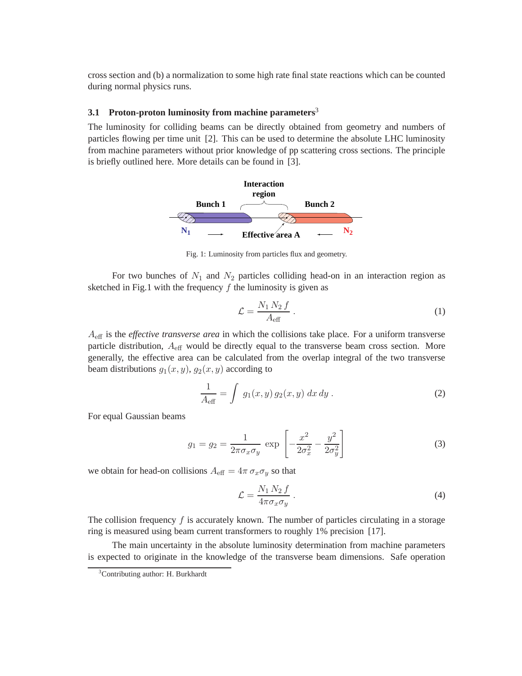cross section and (b) a normalization to some high rate final state reactions which can be counted during normal physics runs.

# **3.1 Proton-proton luminosity from machine parameters**<sup>3</sup>

The luminosity for colliding beams can be directly obtained from geometry and numbers of particles flowing per time unit [2]. This can be used to determine the absolute LHC luminosity from machine parameters without prior knowledge of pp scattering cross sections. The principle is briefly outlined here. More details can be found in [3].



Fig. 1: Luminosity from particles flux and geometry.

For two bunches of  $N_1$  and  $N_2$  particles colliding head-on in an interaction region as sketched in Fig.1 with the frequency  $f$  the luminosity is given as

$$
\mathcal{L} = \frac{N_1 N_2 f}{A_{\text{eff}}} \,. \tag{1}
$$

Aeff is the *effective transverse area* in which the collisions take place. For a uniform transverse particle distribution,  $A_{\text{eff}}$  would be directly equal to the transverse beam cross section. More generally, the effective area can be calculated from the overlap integral of the two transverse beam distributions  $g_1(x, y)$ ,  $g_2(x, y)$  according to

$$
\frac{1}{A_{\text{eff}}} = \int g_1(x, y) g_2(x, y) dx dy.
$$
 (2)

For equal Gaussian beams

$$
g_1 = g_2 = \frac{1}{2\pi\sigma_x\sigma_y} \exp\left[-\frac{x^2}{2\sigma_x^2} - \frac{y^2}{2\sigma_y^2}\right]
$$
 (3)

we obtain for head-on collisions  $A_{\text{eff}} = 4\pi \sigma_x \sigma_y$  so that

$$
\mathcal{L} = \frac{N_1 N_2 f}{4\pi \sigma_x \sigma_y} \,. \tag{4}
$$

The collision frequency  $f$  is accurately known. The number of particles circulating in a storage ring is measured using beam current transformers to roughly 1% precision [17].

The main uncertainty in the absolute luminosity determination from machine parameters is expected to originate in the knowledge of the transverse beam dimensions. Safe operation

<sup>&</sup>lt;sup>3</sup>Contributing author: H. Burkhardt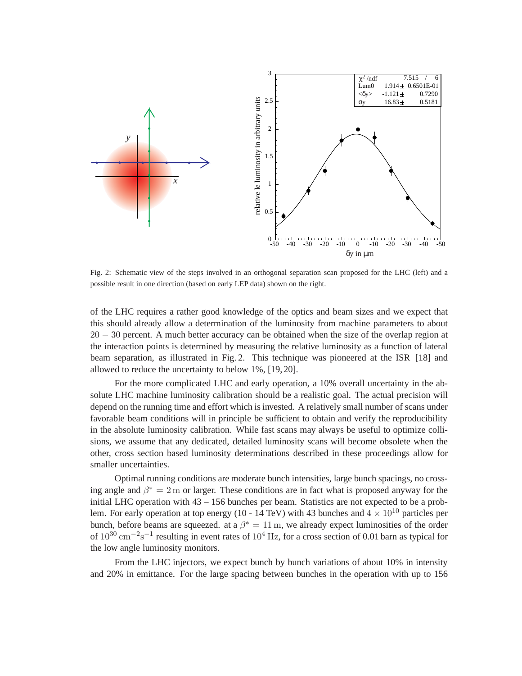

Fig. 2: Schematic view of the steps involved in an orthogonal separation scan proposed for the LHC (left) and a possible result in one direction (based on early LEP data) shown on the right.

of the LHC requires a rather good knowledge of the optics and beam sizes and we expect that this should already allow a determination of the luminosity from machine parameters to about 20 − 30 percent. A much better accuracy can be obtained when the size of the overlap region at the interaction points is determined by measuring the relative luminosity as a function of lateral beam separation, as illustrated in Fig. 2. This technique was pioneered at the ISR [18] and allowed to reduce the uncertainty to below 1%, [19, 20].

For the more complicated LHC and early operation, a 10% overall uncertainty in the absolute LHC machine luminosity calibration should be a realistic goal. The actual precision will depend on the running time and effort which is invested. A relatively small number of scans under favorable beam conditions will in principle be sufficient to obtain and verify the reproducibility in the absolute luminosity calibration. While fast scans may always be useful to optimize collisions, we assume that any dedicated, detailed luminosity scans will become obsolete when the other, cross section based luminosity determinations described in these proceedings allow for smaller uncertainties.

Optimal running conditions are moderate bunch intensities, large bunch spacings, no crossing angle and  $\beta^* = 2$  m or larger. These conditions are in fact what is proposed anyway for the initial LHC operation with 43 – 156 bunches per beam. Statistics are not expected to be a problem. For early operation at top energy (10 - 14 TeV) with 43 bunches and  $4 \times 10^{10}$  particles per bunch, before beams are squeezed. at a  $\beta^* = 11$  m, we already expect luminosities of the order of  $10^{30}$  cm<sup>-2</sup>s<sup>-1</sup> resulting in event rates of  $10^4$  Hz, for a cross section of 0.01 barn as typical for the low angle luminosity monitors.

From the LHC injectors, we expect bunch by bunch variations of about 10% in intensity and 20% in emittance. For the large spacing between bunches in the operation with up to 156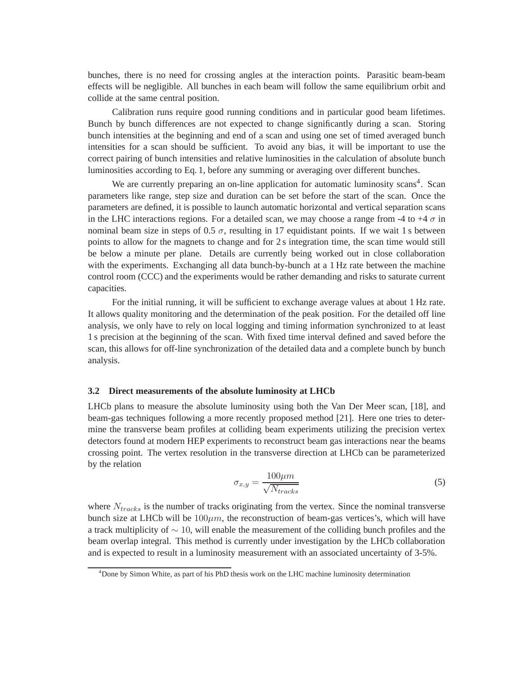bunches, there is no need for crossing angles at the interaction points. Parasitic beam-beam effects will be negligible. All bunches in each beam will follow the same equilibrium orbit and collide at the same central position.

Calibration runs require good running conditions and in particular good beam lifetimes. Bunch by bunch differences are not expected to change significantly during a scan. Storing bunch intensities at the beginning and end of a scan and using one set of timed averaged bunch intensities for a scan should be sufficient. To avoid any bias, it will be important to use the correct pairing of bunch intensities and relative luminosities in the calculation of absolute bunch luminosities according to Eq. 1, before any summing or averaging over different bunches.

We are currently preparing an on-line application for automatic luminosity scans<sup>4</sup>. Scan parameters like range, step size and duration can be set before the start of the scan. Once the parameters are defined, it is possible to launch automatic horizontal and vertical separation scans in the LHC interactions regions. For a detailed scan, we may choose a range from -4 to +4  $\sigma$  in nominal beam size in steps of 0.5  $\sigma$ , resulting in 17 equidistant points. If we wait 1 s between points to allow for the magnets to change and for 2 s integration time, the scan time would still be below a minute per plane. Details are currently being worked out in close collaboration with the experiments. Exchanging all data bunch-by-bunch at a 1 Hz rate between the machine control room (CCC) and the experiments would be rather demanding and risks to saturate current capacities.

For the initial running, it will be sufficient to exchange average values at about 1 Hz rate. It allows quality monitoring and the determination of the peak position. For the detailed off line analysis, we only have to rely on local logging and timing information synchronized to at least 1 s precision at the beginning of the scan. With fixed time interval defined and saved before the scan, this allows for off-line synchronization of the detailed data and a complete bunch by bunch analysis.

#### **3.2 Direct measurements of the absolute luminosity at LHCb**

LHCb plans to measure the absolute luminosity using both the Van Der Meer scan, [18], and beam-gas techniques following a more recently proposed method [21]. Here one tries to determine the transverse beam profiles at colliding beam experiments utilizing the precision vertex detectors found at modern HEP experiments to reconstruct beam gas interactions near the beams crossing point. The vertex resolution in the transverse direction at LHCb can be parameterized by the relation

$$
\sigma_{x,y} = \frac{100\mu m}{\sqrt{N_{tracks}}}
$$
\n(5)

where  $N_{tracks}$  is the number of tracks originating from the vertex. Since the nominal transverse bunch size at LHCb will be  $100\mu m$ , the reconstruction of beam-gas vertices's, which will have a track multiplicity of ∼ 10, will enable the measurement of the colliding bunch profiles and the beam overlap integral. This method is currently under investigation by the LHCb collaboration and is expected to result in a luminosity measurement with an associated uncertainty of 3-5%.

<sup>4</sup>Done by Simon White, as part of his PhD thesis work on the LHC machine luminosity determination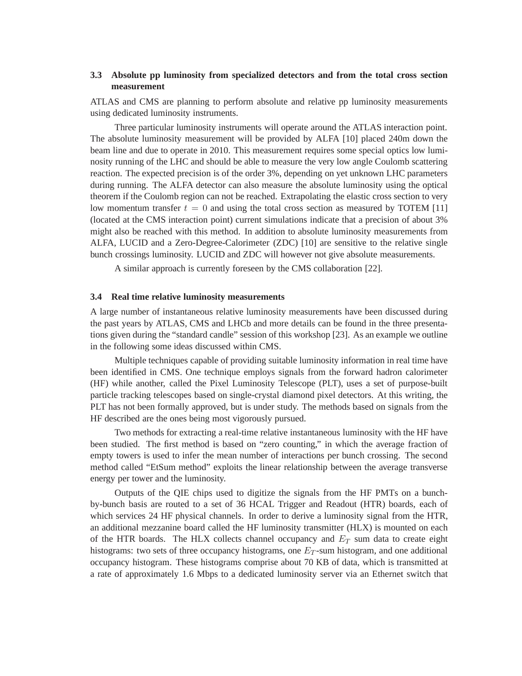# **3.3 Absolute pp luminosity from specialized detectors and from the total cross section measurement**

ATLAS and CMS are planning to perform absolute and relative pp luminosity measurements using dedicated luminosity instruments.

Three particular luminosity instruments will operate around the ATLAS interaction point. The absolute luminosity measurement will be provided by ALFA [10] placed 240m down the beam line and due to operate in 2010. This measurement requires some special optics low luminosity running of the LHC and should be able to measure the very low angle Coulomb scattering reaction. The expected precision is of the order 3%, depending on yet unknown LHC parameters during running. The ALFA detector can also measure the absolute luminosity using the optical theorem if the Coulomb region can not be reached. Extrapolating the elastic cross section to very low momentum transfer  $t = 0$  and using the total cross section as measured by TOTEM [11] (located at the CMS interaction point) current simulations indicate that a precision of about 3% might also be reached with this method. In addition to absolute luminosity measurements from ALFA, LUCID and a Zero-Degree-Calorimeter (ZDC) [10] are sensitive to the relative single bunch crossings luminosity. LUCID and ZDC will however not give absolute measurements.

A similar approach is currently foreseen by the CMS collaboration [22].

#### **3.4 Real time relative luminosity measurements**

A large number of instantaneous relative luminosity measurements have been discussed during the past years by ATLAS, CMS and LHCb and more details can be found in the three presentations given during the "standard candle" session of this workshop [23]. As an example we outline in the following some ideas discussed within CMS.

Multiple techniques capable of providing suitable luminosity information in real time have been identified in CMS. One technique employs signals from the forward hadron calorimeter (HF) while another, called the Pixel Luminosity Telescope (PLT), uses a set of purpose-built particle tracking telescopes based on single-crystal diamond pixel detectors. At this writing, the PLT has not been formally approved, but is under study. The methods based on signals from the HF described are the ones being most vigorously pursued.

Two methods for extracting a real-time relative instantaneous luminosity with the HF have been studied. The first method is based on "zero counting," in which the average fraction of empty towers is used to infer the mean number of interactions per bunch crossing. The second method called "EtSum method" exploits the linear relationship between the average transverse energy per tower and the luminosity.

Outputs of the QIE chips used to digitize the signals from the HF PMTs on a bunchby-bunch basis are routed to a set of 36 HCAL Trigger and Readout (HTR) boards, each of which services 24 HF physical channels. In order to derive a luminosity signal from the HTR, an additional mezzanine board called the HF luminosity transmitter (HLX) is mounted on each of the HTR boards. The HLX collects channel occupancy and  $E_T$  sum data to create eight histograms: two sets of three occupancy histograms, one  $E_T$ -sum histogram, and one additional occupancy histogram. These histograms comprise about 70 KB of data, which is transmitted at a rate of approximately 1.6 Mbps to a dedicated luminosity server via an Ethernet switch that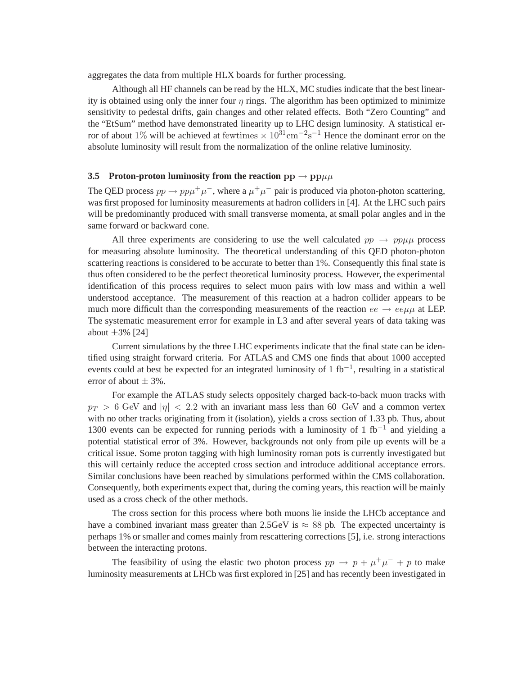aggregates the data from multiple HLX boards for further processing.

Although all HF channels can be read by the HLX, MC studies indicate that the best linearity is obtained using only the inner four  $\eta$  rings. The algorithm has been optimized to minimize sensitivity to pedestal drifts, gain changes and other related effects. Both "Zero Counting" and the "EtSum" method have demonstrated linearity up to LHC design luminosity. A statistical error of about 1% will be achieved at fewtimes  $\times 10^{31}$ cm<sup>-2</sup>s<sup>-1</sup> Hence the dominant error on the absolute luminosity will result from the normalization of the online relative luminosity.

# **3.5 Proton-proton luminosity from the reaction**  $pp \rightarrow pp\mu\mu$

The QED process  $pp \to pp\mu^+\mu^-$ , where a  $\mu^+\mu^-$  pair is produced via photon-photon scattering, was first proposed for luminosity measurements at hadron colliders in [4]. At the LHC such pairs will be predominantly produced with small transverse momenta, at small polar angles and in the same forward or backward cone.

All three experiments are considering to use the well calculated  $pp \rightarrow pp\mu\mu$  process for measuring absolute luminosity. The theoretical understanding of this QED photon-photon scattering reactions is considered to be accurate to better than 1%. Consequently this final state is thus often considered to be the perfect theoretical luminosity process. However, the experimental identification of this process requires to select muon pairs with low mass and within a well understood acceptance. The measurement of this reaction at a hadron collider appears to be much more difficult than the corresponding measurements of the reaction  $ee \rightarrow ee\mu\mu$  at LEP. The systematic measurement error for example in L3 and after several years of data taking was about  $\pm 3\%$  [24]

Current simulations by the three LHC experiments indicate that the final state can be identified using straight forward criteria. For ATLAS and CMS one finds that about 1000 accepted events could at best be expected for an integrated luminosity of 1 fb<sup>-1</sup>, resulting in a statistical error of about  $\pm$  3%.

For example the ATLAS study selects oppositely charged back-to-back muon tracks with  $p_T > 6$  GeV and  $|\eta| < 2.2$  with an invariant mass less than 60 GeV and a common vertex with no other tracks originating from it (isolation), yields a cross section of 1.33 pb. Thus, about 1300 events can be expected for running periods with a luminosity of 1 fb<sup>-1</sup> and yielding a potential statistical error of 3%. However, backgrounds not only from pile up events will be a critical issue. Some proton tagging with high luminosity roman pots is currently investigated but this will certainly reduce the accepted cross section and introduce additional acceptance errors. Similar conclusions have been reached by simulations performed within the CMS collaboration. Consequently, both experiments expect that, during the coming years, this reaction will be mainly used as a cross check of the other methods.

The cross section for this process where both muons lie inside the LHCb acceptance and have a combined invariant mass greater than 2.5GeV is  $\approx 88$  pb. The expected uncertainty is perhaps 1% or smaller and comes mainly from rescattering corrections [5], i.e. strong interactions between the interacting protons.

The feasibility of using the elastic two photon process  $pp \rightarrow p + \mu^+ \mu^- + p$  to make luminosity measurements at LHCb was first explored in [25] and has recently been investigated in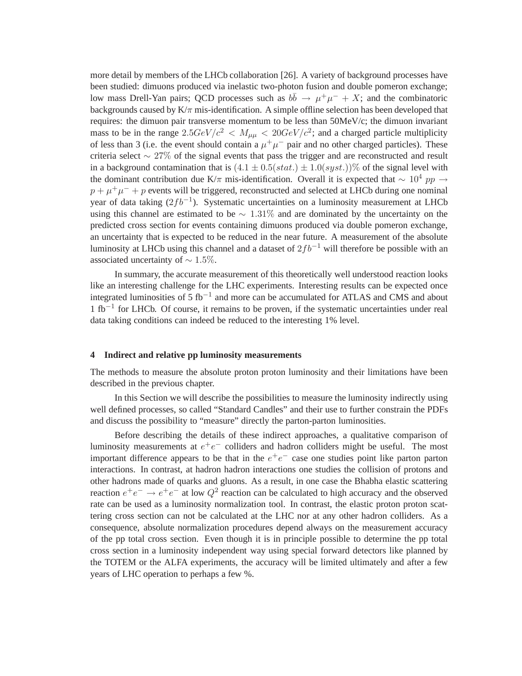more detail by members of the LHCb collaboration [26]. A variety of background processes have been studied: dimuons produced via inelastic two-photon fusion and double pomeron exchange; low mass Drell-Yan pairs; QCD processes such as  $b\bar{b} \rightarrow \mu^+\mu^- + X$ ; and the combinatoric backgrounds caused by  $K/\pi$  mis-identification. A simple offline selection has been developed that requires: the dimuon pair transverse momentum to be less than 50MeV/c; the dimuon invariant mass to be in the range  $2.5 GeV/c^2 < M_{\mu\mu} < 20 GeV/c^2$ ; and a charged particle multiplicity of less than 3 (i.e. the event should contain a  $\mu^+\mu^-$  pair and no other charged particles). These criteria select  $\sim$  27% of the signal events that pass the trigger and are reconstructed and result in a background contamination that is  $(4.1 \pm 0.5(stat.) \pm 1.0(syst.))\%$  of the signal level with the dominant contribution due K/π mis-identification. Overall it is expected that  $\sim 10^4$  pp  $\rightarrow$  $p + \mu^+ \mu^- + p$  events will be triggered, reconstructed and selected at LHCb during one nominal year of data taking  $(2fb^{-1})$ . Systematic uncertainties on a luminosity measurement at LHCb using this channel are estimated to be  $\sim 1.31\%$  and are dominated by the uncertainty on the predicted cross section for events containing dimuons produced via double pomeron exchange, an uncertainty that is expected to be reduced in the near future. A measurement of the absolute luminosity at LHCb using this channel and a dataset of  $2fb^{-1}$  will therefore be possible with an associated uncertainty of  $\sim 1.5\%$ .

In summary, the accurate measurement of this theoretically well understood reaction looks like an interesting challenge for the LHC experiments. Interesting results can be expected once integrated luminosities of 5 fb−<sup>1</sup> and more can be accumulated for ATLAS and CMS and about 1 fb−<sup>1</sup> for LHCb. Of course, it remains to be proven, if the systematic uncertainties under real data taking conditions can indeed be reduced to the interesting 1% level.

#### **4 Indirect and relative pp luminosity measurements**

The methods to measure the absolute proton proton luminosity and their limitations have been described in the previous chapter.

In this Section we will describe the possibilities to measure the luminosity indirectly using well defined processes, so called "Standard Candles" and their use to further constrain the PDFs and discuss the possibility to "measure" directly the parton-parton luminosities.

Before describing the details of these indirect approaches, a qualitative comparison of luminosity measurements at  $e^+e^-$  colliders and hadron colliders might be useful. The most important difference appears to be that in the  $e^+e^-$  case one studies point like parton parton interactions. In contrast, at hadron hadron interactions one studies the collision of protons and other hadrons made of quarks and gluons. As a result, in one case the Bhabha elastic scattering reaction  $e^+e^- \rightarrow e^+e^-$  at low  $Q^2$  reaction can be calculated to high accuracy and the observed rate can be used as a luminosity normalization tool. In contrast, the elastic proton proton scattering cross section can not be calculated at the LHC nor at any other hadron colliders. As a consequence, absolute normalization procedures depend always on the measurement accuracy of the pp total cross section. Even though it is in principle possible to determine the pp total cross section in a luminosity independent way using special forward detectors like planned by the TOTEM or the ALFA experiments, the accuracy will be limited ultimately and after a few years of LHC operation to perhaps a few %.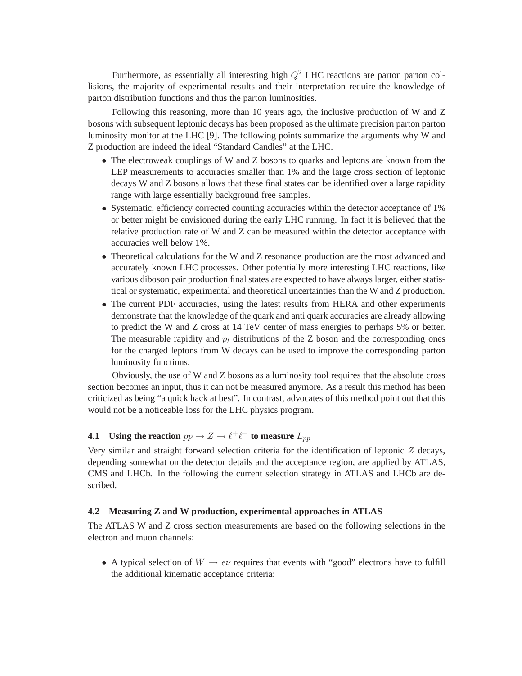Furthermore, as essentially all interesting high  $Q^2$  LHC reactions are parton parton collisions, the majority of experimental results and their interpretation require the knowledge of parton distribution functions and thus the parton luminosities.

Following this reasoning, more than 10 years ago, the inclusive production of W and Z bosons with subsequent leptonic decays has been proposed as the ultimate precision parton parton luminosity monitor at the LHC [9]. The following points summarize the arguments why W and Z production are indeed the ideal "Standard Candles" at the LHC.

- The electroweak couplings of W and Z bosons to quarks and leptons are known from the LEP measurements to accuracies smaller than 1% and the large cross section of leptonic decays W and Z bosons allows that these final states can be identified over a large rapidity range with large essentially background free samples.
- Systematic, efficiency corrected counting accuracies within the detector acceptance of 1% or better might be envisioned during the early LHC running. In fact it is believed that the relative production rate of W and Z can be measured within the detector acceptance with accuracies well below 1%.
- Theoretical calculations for the W and Z resonance production are the most advanced and accurately known LHC processes. Other potentially more interesting LHC reactions, like various diboson pair production final states are expected to have always larger, either statistical or systematic, experimental and theoretical uncertainties than the W and Z production.
- The current PDF accuracies, using the latest results from HERA and other experiments demonstrate that the knowledge of the quark and anti quark accuracies are already allowing to predict the W and Z cross at 14 TeV center of mass energies to perhaps 5% or better. The measurable rapidity and  $p_t$  distributions of the Z boson and the corresponding ones for the charged leptons from W decays can be used to improve the corresponding parton luminosity functions.

Obviously, the use of W and Z bosons as a luminosity tool requires that the absolute cross section becomes an input, thus it can not be measured anymore. As a result this method has been criticized as being "a quick hack at best". In contrast, advocates of this method point out that this would not be a noticeable loss for the LHC physics program.

# **4.1** Using the reaction  $pp \to Z \to \ell^+ \ell^-$  to measure  $L_{pp}$

Very similar and straight forward selection criteria for the identification of leptonic Z decays, depending somewhat on the detector details and the acceptance region, are applied by ATLAS, CMS and LHCb. In the following the current selection strategy in ATLAS and LHCb are described.

#### **4.2 Measuring Z and W production, experimental approaches in ATLAS**

The ATLAS W and Z cross section measurements are based on the following selections in the electron and muon channels:

• A typical selection of  $W \to e\nu$  requires that events with "good" electrons have to fulfill the additional kinematic acceptance criteria: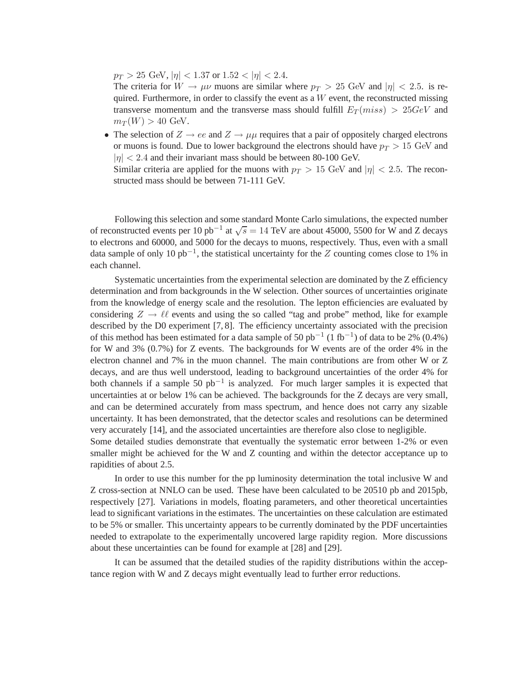$p_T > 25$  GeV,  $|\eta| < 1.37$  or  $1.52 < |\eta| < 2.4$ .

The criteria for  $W \to \mu\nu$  muons are similar where  $p_T > 25$  GeV and  $|\eta| < 2.5$ . is required. Furthermore, in order to classify the event as a  $W$  event, the reconstructed missing transverse momentum and the transverse mass should fulfill  $E_T(miss) > 25 GeV$  and  $m_T(W) > 40$  GeV.

• The selection of  $Z \rightarrow ee$  and  $Z \rightarrow \mu\mu$  requires that a pair of oppositely charged electrons or muons is found. Due to lower background the electrons should have  $p_T > 15$  GeV and  $|\eta|$  < 2.4 and their invariant mass should be between 80-100 GeV.

Similar criteria are applied for the muons with  $p_T > 15$  GeV and  $|\eta| < 2.5$ . The reconstructed mass should be between 71-111 GeV.

Following this selection and some standard Monte Carlo simulations, the expected number of reconstructed events per 10 pb<sup>-1</sup> at  $\sqrt{s} = 14$  TeV are about 45000, 5500 for W and Z decays to electrons and 60000, and 5000 for the decays to muons, respectively. Thus, even with a small data sample of only 10  $pb^{-1}$ , the statistical uncertainty for the Z counting comes close to 1% in each channel.

Systematic uncertainties from the experimental selection are dominated by the Z efficiency determination and from backgrounds in the W selection. Other sources of uncertainties originate from the knowledge of energy scale and the resolution. The lepton efficiencies are evaluated by considering  $Z \rightarrow \ell \ell$  events and using the so called "tag and probe" method, like for example described by the D0 experiment [7, 8]. The efficiency uncertainty associated with the precision of this method has been estimated for a data sample of 50  $pb^{-1}$  (1 fb<sup>-1</sup>) of data to be 2% (0.4%) for W and 3% (0.7%) for Z events. The backgrounds for W events are of the order 4% in the electron channel and 7% in the muon channel. The main contributions are from other W or Z decays, and are thus well understood, leading to background uncertainties of the order 4% for both channels if a sample 50 pb−<sup>1</sup> is analyzed. For much larger samples it is expected that uncertainties at or below 1% can be achieved. The backgrounds for the Z decays are very small, and can be determined accurately from mass spectrum, and hence does not carry any sizable uncertainty. It has been demonstrated, that the detector scales and resolutions can be determined very accurately [14], and the associated uncertainties are therefore also close to negligible. Some detailed studies demonstrate that eventually the systematic error between 1-2% or even

smaller might be achieved for the W and Z counting and within the detector acceptance up to rapidities of about 2.5.

In order to use this number for the pp luminosity determination the total inclusive W and Z cross-section at NNLO can be used. These have been calculated to be 20510 pb and 2015pb, respectively [27]. Variations in models, floating parameters, and other theoretical uncertainties lead to significant variations in the estimates. The uncertainties on these calculation are estimated to be 5% or smaller. This uncertainty appears to be currently dominated by the PDF uncertainties needed to extrapolate to the experimentally uncovered large rapidity region. More discussions about these uncertainties can be found for example at [28] and [29].

It can be assumed that the detailed studies of the rapidity distributions within the acceptance region with W and Z decays might eventually lead to further error reductions.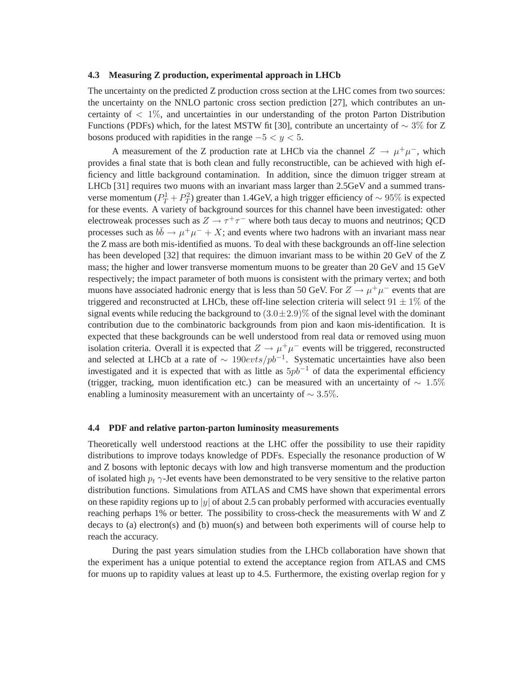#### **4.3 Measuring Z production, experimental approach in LHCb**

The uncertainty on the predicted Z production cross section at the LHC comes from two sources: the uncertainty on the NNLO partonic cross section prediction [27], which contributes an uncertainty of  $\langle 1\% \rangle$ , and uncertainties in our understanding of the proton Parton Distribution Functions (PDFs) which, for the latest MSTW fit [30], contribute an uncertainty of  $\sim 3\%$  for Z bosons produced with rapidities in the range  $-5 < y < 5$ .

A measurement of the Z production rate at LHCb via the channel  $Z \rightarrow \mu^+ \mu^-$ , which provides a final state that is both clean and fully reconstructible, can be achieved with high efficiency and little background contamination. In addition, since the dimuon trigger stream at LHCb [31] requires two muons with an invariant mass larger than 2.5GeV and a summed transverse momentum ( $P_T^1 + P_T^2$  $T(T)$  greater than 1.4GeV, a high trigger efficiency of  $\sim 95\%$  is expected for these events. A variety of background sources for this channel have been investigated: other electroweak processes such as  $Z \rightarrow \tau^+\tau^-$  where both taus decay to muons and neutrinos; QCD processes such as  $b\bar{b} \to \mu^+\mu^- + X$ ; and events where two hadrons with an invariant mass near the Z mass are both mis-identified as muons. To deal with these backgrounds an off-line selection has been developed [32] that requires: the dimuon invariant mass to be within 20 GeV of the Z mass; the higher and lower transverse momentum muons to be greater than 20 GeV and 15 GeV respectively; the impact parameter of both muons is consistent with the primary vertex; and both muons have associated hadronic energy that is less than 50 GeV. For  $Z \rightarrow \mu^+ \mu^-$  events that are triggered and reconstructed at LHCb, these off-line selection criteria will select  $91 \pm 1\%$  of the signal events while reducing the background to  $(3.0 \pm 2.9)\%$  of the signal level with the dominant contribution due to the combinatoric backgrounds from pion and kaon mis-identification. It is expected that these backgrounds can be well understood from real data or removed using muon isolation criteria. Overall it is expected that  $Z \to \mu^+ \mu^-$  events will be triggered, reconstructed and selected at LHCb at a rate of  $\sim 190 \text{e}vts/pb^{-1}$ . Systematic uncertainties have also been investigated and it is expected that with as little as  $5pb^{-1}$  of data the experimental efficiency (trigger, tracking, muon identification etc.) can be measured with an uncertainty of  $\sim 1.5\%$ enabling a luminosity measurement with an uncertainty of  $\sim 3.5\%$ .

#### **4.4 PDF and relative parton-parton luminosity measurements**

Theoretically well understood reactions at the LHC offer the possibility to use their rapidity distributions to improve todays knowledge of PDFs. Especially the resonance production of W and Z bosons with leptonic decays with low and high transverse momentum and the production of isolated high  $p_t \gamma$ -Jet events have been demonstrated to be very sensitive to the relative parton distribution functions. Simulations from ATLAS and CMS have shown that experimental errors on these rapidity regions up to  $|y|$  of about 2.5 can probably performed with accuracies eventually reaching perhaps 1% or better. The possibility to cross-check the measurements with W and Z decays to (a) electron(s) and (b) muon(s) and between both experiments will of course help to reach the accuracy.

During the past years simulation studies from the LHCb collaboration have shown that the experiment has a unique potential to extend the acceptance region from ATLAS and CMS for muons up to rapidity values at least up to 4.5. Furthermore, the existing overlap region for y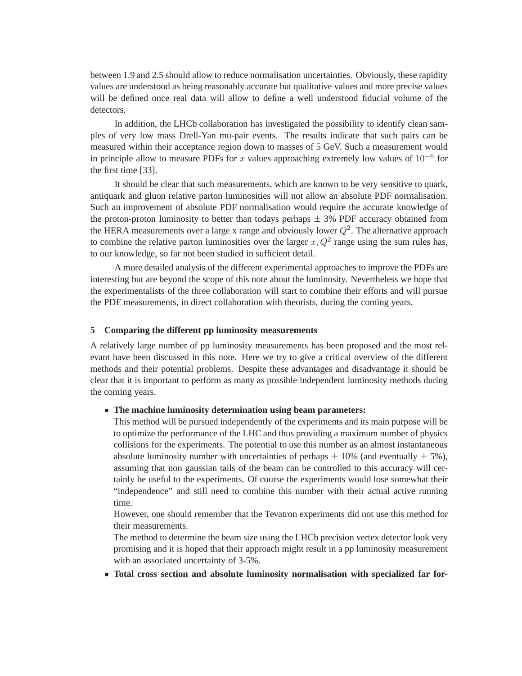between 1.9 and 2.5 should allow to reduce normalisation uncertainties. Obviously, these rapidity values are understood as being reasonably accurate but qualitative values and more precise values will be defined once real data will allow to define a well understood fiducial volume of the detectors.

In addition, the LHCb collaboration has investigated the possibility to identify clean samples of very low mass Drell-Yan mu-pair events. The results indicate that such pairs can be measured within their acceptance region down to masses of 5 GeV. Such a measurement would in principle allow to measure PDFs for x values approaching extremely low values of  $10^{-6}$  for the first time [33].

It should be clear that such measurements, which are known to be very sensitive to quark, antiquark and gluon relative parton luminosities will not allow an absolute PDF normalisation. Such an improvement of absolute PDF normalisation would require the accurate knowledge of the proton-proton luminosity to better than todays perhaps  $\pm$  3% PDF accuracy obtained from the HERA measurements over a large x range and obviously lower  $Q^2$ . The alternative approach to combine the relative parton luminosities over the larger  $x, Q^2$  range using the sum rules has, to our knowledge, so far not been studied in sufficient detail.

A more detailed analysis of the different experimental approaches to improve the PDFs are interesting but are beyond the scope of this note about the luminosity. Nevertheless we hope that the experimentalists of the three collaboration will start to combine their efforts and will pursue the PDF measurements, in direct collaboration with theorists, during the coming years.

### **5 Comparing the different pp luminosity measurements**

A relatively large number of pp luminosity measurements has been proposed and the most relevant have been discussed in this note. Here we try to give a critical overview of the different methods and their potential problems. Despite these advantages and disadvantage it should be clear that it is important to perform as many as possible independent luminosity methods during the coming years.

#### • **The machine luminosity determination using beam parameters:**

This method will be pursued independently of the experiments and its main purpose will be to optimize the performance of the LHC and thus providing a maximum number of physics collisions for the experiments. The potential to use this number as an almost instantaneous absolute luminosity number with uncertainties of perhaps  $\pm$  10% (and eventually  $\pm$  5%), assuming that non gaussian tails of the beam can be controlled to this accuracy will certainly be useful to the experiments. Of course the experiments would lose somewhat their "independence" and still need to combine this number with their actual active running time.

However, one should remember that the Tevatron experiments did not use this method for their measurements.

The method to determine the beam size using the LHCb precision vertex detector look very promising and it is hoped that their approach might result in a pp luminosity measurement with an associated uncertainty of 3-5%.

• **Total cross section and absolute luminosity normalisation with specialized far for-**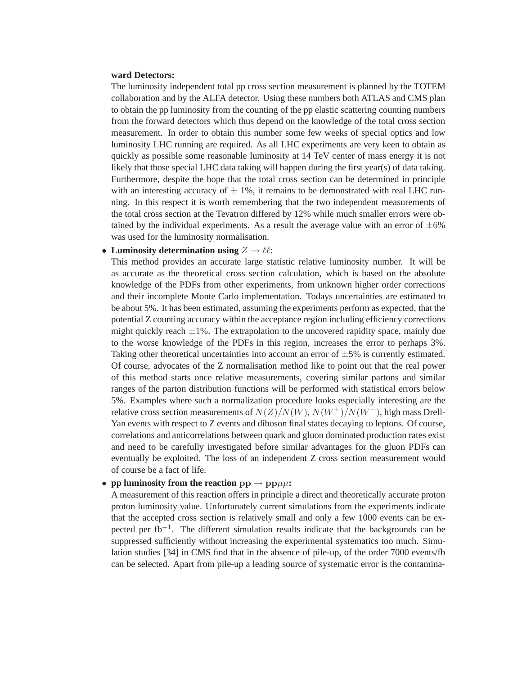# **ward Detectors:**

The luminosity independent total pp cross section measurement is planned by the TOTEM collaboration and by the ALFA detector. Using these numbers both ATLAS and CMS plan to obtain the pp luminosity from the counting of the pp elastic scattering counting numbers from the forward detectors which thus depend on the knowledge of the total cross section measurement. In order to obtain this number some few weeks of special optics and low luminosity LHC running are required. As all LHC experiments are very keen to obtain as quickly as possible some reasonable luminosity at 14 TeV center of mass energy it is not likely that those special LHC data taking will happen during the first year(s) of data taking. Furthermore, despite the hope that the total cross section can be determined in principle with an interesting accuracy of  $\pm$  1%, it remains to be demonstrated with real LHC running. In this respect it is worth remembering that the two independent measurements of the total cross section at the Tevatron differed by 12% while much smaller errors were obtained by the individual experiments. As a result the average value with an error of  $\pm 6\%$ was used for the luminosity normalisation.

#### • Luminosity determination using  $Z \to \ell \ell$ :

This method provides an accurate large statistic relative luminosity number. It will be as accurate as the theoretical cross section calculation, which is based on the absolute knowledge of the PDFs from other experiments, from unknown higher order corrections and their incomplete Monte Carlo implementation. Todays uncertainties are estimated to be about 5%. It has been estimated, assuming the experiments perform as expected, that the potential Z counting accuracy within the acceptance region including efficiency corrections might quickly reach  $\pm 1\%$ . The extrapolation to the uncovered rapidity space, mainly due to the worse knowledge of the PDFs in this region, increases the error to perhaps 3%. Taking other theoretical uncertainties into account an error of  $\pm 5\%$  is currently estimated. Of course, advocates of the Z normalisation method like to point out that the real power of this method starts once relative measurements, covering similar partons and similar ranges of the parton distribution functions will be performed with statistical errors below 5%. Examples where such a normalization procedure looks especially interesting are the relative cross section measurements of  $N(Z)/N(W)$ ,  $N(W^+)/N(W^-)$ , high mass Drell-Yan events with respect to Z events and diboson final states decaying to leptons. Of course, correlations and anticorrelations between quark and gluon dominated production rates exist and need to be carefully investigated before similar advantages for the gluon PDFs can eventually be exploited. The loss of an independent Z cross section measurement would of course be a fact of life.

# • **pp luminosity from the reaction**  $pp \rightarrow pp\mu\mu$ :

A measurement of this reaction offers in principle a direct and theoretically accurate proton proton luminosity value. Unfortunately current simulations from the experiments indicate that the accepted cross section is relatively small and only a few 1000 events can be expected per fb<sup>-1</sup>. The different simulation results indicate that the backgrounds can be suppressed sufficiently without increasing the experimental systematics too much. Simulation studies [34] in CMS find that in the absence of pile-up, of the order 7000 events/fb can be selected. Apart from pile-up a leading source of systematic error is the contamina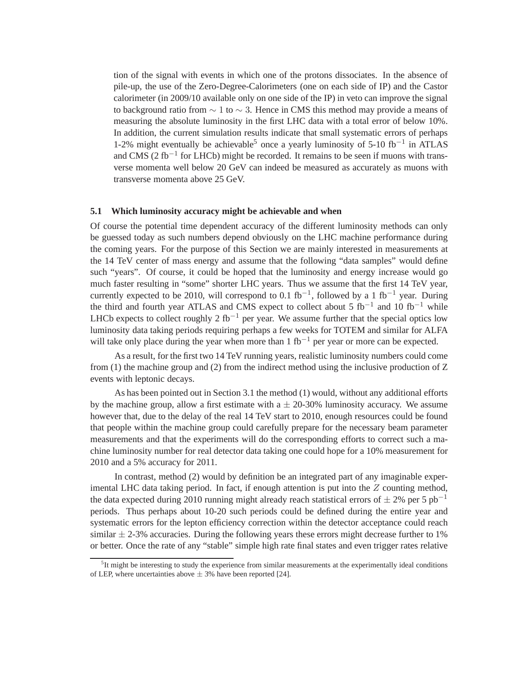tion of the signal with events in which one of the protons dissociates. In the absence of pile-up, the use of the Zero-Degree-Calorimeters (one on each side of IP) and the Castor calorimeter (in 2009/10 available only on one side of the IP) in veto can improve the signal to background ratio from  $\sim 1$  to  $\sim 3$ . Hence in CMS this method may provide a means of measuring the absolute luminosity in the first LHC data with a total error of below 10%. In addition, the current simulation results indicate that small systematic errors of perhaps 1-2% might eventually be achievable<sup>5</sup> once a yearly luminosity of 5-10 fb<sup>-1</sup> in ATLAS and CMS (2  $fb^{-1}$  for LHCb) might be recorded. It remains to be seen if muons with transverse momenta well below 20 GeV can indeed be measured as accurately as muons with transverse momenta above 25 GeV.

#### **5.1 Which luminosity accuracy might be achievable and when**

Of course the potential time dependent accuracy of the different luminosity methods can only be guessed today as such numbers depend obviously on the LHC machine performance during the coming years. For the purpose of this Section we are mainly interested in measurements at the 14 TeV center of mass energy and assume that the following "data samples" would define such "years". Of course, it could be hoped that the luminosity and energy increase would go much faster resulting in "some" shorter LHC years. Thus we assume that the first 14 TeV year, currently expected to be 2010, will correspond to 0.1 fb<sup>-1</sup>, followed by a 1 fb<sup>-1</sup> year. During the third and fourth year ATLAS and CMS expect to collect about 5  $fb^{-1}$  and 10  $fb^{-1}$  while LHCb expects to collect roughly 2 fb<sup>-1</sup> per year. We assume further that the special optics low luminosity data taking periods requiring perhaps a few weeks for TOTEM and similar for ALFA will take only place during the year when more than 1 fb<sup>-1</sup> per year or more can be expected.

As a result, for the first two 14 TeV running years, realistic luminosity numbers could come from (1) the machine group and (2) from the indirect method using the inclusive production of Z events with leptonic decays.

As has been pointed out in Section 3.1 the method (1) would, without any additional efforts by the machine group, allow a first estimate with  $a \pm 20-30\%$  luminosity accuracy. We assume however that, due to the delay of the real 14 TeV start to 2010, enough resources could be found that people within the machine group could carefully prepare for the necessary beam parameter measurements and that the experiments will do the corresponding efforts to correct such a machine luminosity number for real detector data taking one could hope for a 10% measurement for 2010 and a 5% accuracy for 2011.

In contrast, method (2) would by definition be an integrated part of any imaginable experimental LHC data taking period. In fact, if enough attention is put into the Z counting method, the data expected during 2010 running might already reach statistical errors of  $\pm$  2% per 5 pb<sup>-1</sup> periods. Thus perhaps about 10-20 such periods could be defined during the entire year and systematic errors for the lepton efficiency correction within the detector acceptance could reach similar  $\pm$  2-3% accuracies. During the following years these errors might decrease further to 1% or better. Once the rate of any "stable" simple high rate final states and even trigger rates relative

<sup>&</sup>lt;sup>5</sup>It might be interesting to study the experience from similar measurements at the experimentally ideal conditions of LEP, where uncertainties above  $\pm$  3% have been reported [24].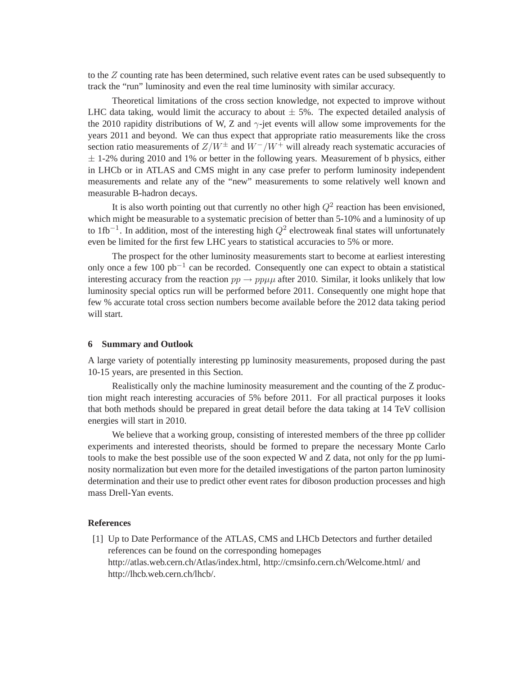to the Z counting rate has been determined, such relative event rates can be used subsequently to track the "run" luminosity and even the real time luminosity with similar accuracy.

Theoretical limitations of the cross section knowledge, not expected to improve without LHC data taking, would limit the accuracy to about  $\pm$  5%. The expected detailed analysis of the 2010 rapidity distributions of W, Z and  $\gamma$ -jet events will allow some improvements for the years 2011 and beyond. We can thus expect that appropriate ratio measurements like the cross section ratio measurements of  $Z/W^{\pm}$  and  $W^-/W^+$  will already reach systematic accuracies of  $\pm$  1-2% during 2010 and 1% or better in the following years. Measurement of b physics, either in LHCb or in ATLAS and CMS might in any case prefer to perform luminosity independent measurements and relate any of the "new" measurements to some relatively well known and measurable B-hadron decays.

It is also worth pointing out that currently no other high  $Q^2$  reaction has been envisioned, which might be measurable to a systematic precision of better than  $5-10\%$  and a luminosity of up to 1fb<sup>-1</sup>. In addition, most of the interesting high  $Q^2$  electroweak final states will unfortunately even be limited for the first few LHC years to statistical accuracies to 5% or more.

The prospect for the other luminosity measurements start to become at earliest interesting only once a few 100 pb−<sup>1</sup> can be recorded. Consequently one can expect to obtain a statistical interesting accuracy from the reaction  $pp \rightarrow pp\mu\mu$  after 2010. Similar, it looks unlikely that low luminosity special optics run will be performed before 2011. Consequently one might hope that few % accurate total cross section numbers become available before the 2012 data taking period will start.

#### **6 Summary and Outlook**

A large variety of potentially interesting pp luminosity measurements, proposed during the past 10-15 years, are presented in this Section.

Realistically only the machine luminosity measurement and the counting of the Z production might reach interesting accuracies of 5% before 2011. For all practical purposes it looks that both methods should be prepared in great detail before the data taking at 14 TeV collision energies will start in 2010.

We believe that a working group, consisting of interested members of the three pp collider experiments and interested theorists, should be formed to prepare the necessary Monte Carlo tools to make the best possible use of the soon expected W and Z data, not only for the pp luminosity normalization but even more for the detailed investigations of the parton parton luminosity determination and their use to predict other event rates for diboson production processes and high mass Drell-Yan events.

#### **References**

[1] Up to Date Performance of the ATLAS, CMS and LHCb Detectors and further detailed references can be found on the corresponding homepages http://atlas.web.cern.ch/Atlas/index.html, http://cmsinfo.cern.ch/Welcome.html/ and http://lhcb.web.cern.ch/lhcb/.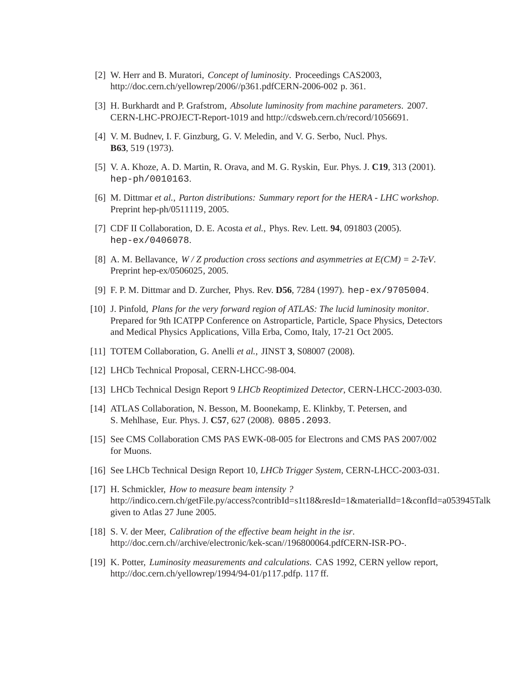- [2] W. Herr and B. Muratori, *Concept of luminosity*. Proceedings CAS2003, http://doc.cern.ch/yellowrep/2006//p361.pdfCERN-2006-002 p. 361.
- [3] H. Burkhardt and P. Grafstrom, *Absolute luminosity from machine parameters*. 2007. CERN-LHC-PROJECT-Report-1019 and http://cdsweb.cern.ch/record/1056691.
- [4] V. M. Budnev, I. F. Ginzburg, G. V. Meledin, and V. G. Serbo, Nucl. Phys. **B63**, 519 (1973).
- [5] V. A. Khoze, A. D. Martin, R. Orava, and M. G. Ryskin, Eur. Phys. J. **C19**, 313 (2001). hep-ph/0010163.
- [6] M. Dittmar *et al.*, *Parton distributions: Summary report for the HERA LHC workshop*. Preprint hep-ph/0511119, 2005.
- [7] CDF II Collaboration, D. E. Acosta *et al.*, Phys. Rev. Lett. **94**, 091803 (2005). hep-ex/0406078.
- [8] A. M. Bellavance, *W / Z production cross sections and asymmetries at E(CM) = 2-TeV*. Preprint hep-ex/0506025, 2005.
- [9] F. P. M. Dittmar and D. Zurcher, Phys. Rev. **D56**, 7284 (1997). hep-ex/9705004.
- [10] J. Pinfold, *Plans for the very forward region of ATLAS: The lucid luminosity monitor*. Prepared for 9th ICATPP Conference on Astroparticle, Particle, Space Physics, Detectors and Medical Physics Applications, Villa Erba, Como, Italy, 17-21 Oct 2005.
- [11] TOTEM Collaboration, G. Anelli *et al.*, JINST **3**, S08007 (2008).
- [12] LHCb Technical Proposal, CERN-LHCC-98-004.
- [13] LHCb Technical Design Report 9 *LHCb Reoptimized Detector*, CERN-LHCC-2003-030.
- [14] ATLAS Collaboration, N. Besson, M. Boonekamp, E. Klinkby, T. Petersen, and S. Mehlhase, Eur. Phys. J. **C57**, 627 (2008). 0805.2093.
- [15] See CMS Collaboration CMS PAS EWK-08-005 for Electrons and CMS PAS 2007/002 for Muons.
- [16] See LHCb Technical Design Report 10, *LHCb Trigger System*, CERN-LHCC-2003-031.
- [17] H. Schmickler, *How to measure beam intensity ?* http://indico.cern.ch/getFile.py/access?contribId=s1t18&resId=1&materialId=1&confId=a053945Talk given to Atlas 27 June 2005.
- [18] S. V. der Meer, *Calibration of the effective beam height in the isr*. http://doc.cern.ch//archive/electronic/kek-scan//196800064.pdfCERN-ISR-PO-.
- [19] K. Potter, *Luminosity measurements and calculations*. CAS 1992, CERN yellow report, http://doc.cern.ch/yellowrep/1994/94-01/p117.pdfp. 117 ff.